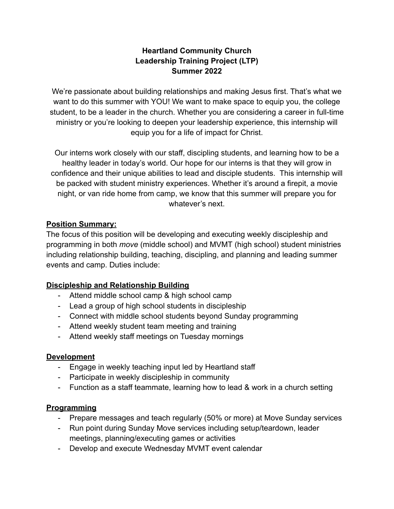# **Heartland Community Church Leadership Training Project (LTP) Summer 2022**

We're passionate about building relationships and making Jesus first. That's what we want to do this summer with YOU! We want to make space to equip you, the college student, to be a leader in the church. Whether you are considering a career in full-time ministry or you're looking to deepen your leadership experience, this internship will equip you for a life of impact for Christ.

Our interns work closely with our staff, discipling students, and learning how to be a healthy leader in today's world. Our hope for our interns is that they will grow in confidence and their unique abilities to lead and disciple students. This internship will be packed with student ministry experiences. Whether it's around a firepit, a movie night, or van ride home from camp, we know that this summer will prepare you for whatever's next.

## **Position Summary:**

The focus of this position will be developing and executing weekly discipleship and programming in both *move* (middle school) and MVMT (high school) student ministries including relationship building, teaching, discipling, and planning and leading summer events and camp. Duties include:

# **Discipleship and Relationship Building**

- Attend middle school camp & high school camp
- Lead a group of high school students in discipleship
- Connect with middle school students beyond Sunday programming
- Attend weekly student team meeting and training
- Attend weekly staff meetings on Tuesday mornings

#### **Development**

- Engage in weekly teaching input led by Heartland staff
- Participate in weekly discipleship in community
- Function as a staff teammate, learning how to lead  $&$  work in a church setting

#### **Programming**

- Prepare messages and teach regularly (50% or more) at Move Sunday services
- Run point during Sunday Move services including setup/teardown, leader meetings, planning/executing games or activities
- Develop and execute Wednesday MVMT event calendar